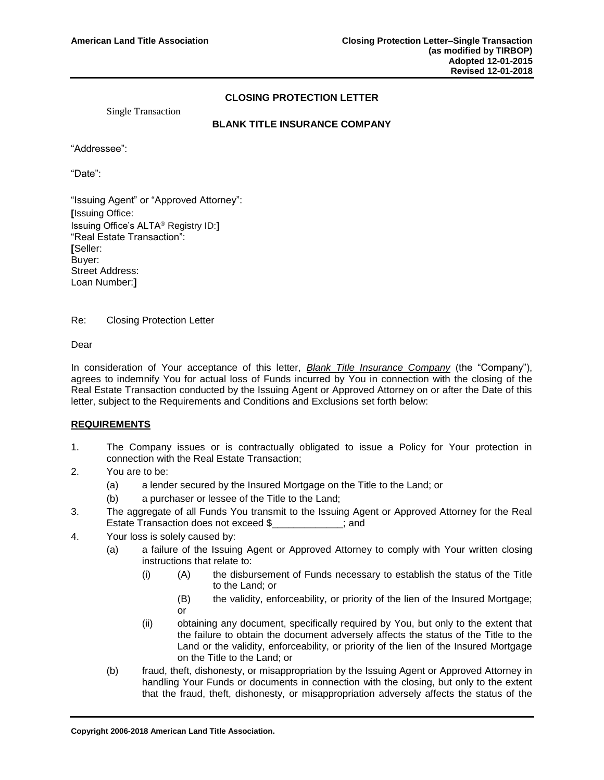## **CLOSING PROTECTION LETTER**

Single Transaction

## **BLANK TITLE INSURANCE COMPANY**

"Addressee":

"Date":

"Issuing Agent" or "Approved Attorney": **[**Issuing Office: Issuing Office's ALTA® Registry ID:**]** "Real Estate Transaction": **[**Seller: Buyer: Street Address: Loan Number:**]**

Re: Closing Protection Letter

Dear

In consideration of Your acceptance of this letter, *Blank Title Insurance Company* (the "Company"), agrees to indemnify You for actual loss of Funds incurred by You in connection with the closing of the Real Estate Transaction conducted by the Issuing Agent or Approved Attorney on or after the Date of this letter, subject to the Requirements and Conditions and Exclusions set forth below:

## **REQUIREMENTS**

- 1. The Company issues or is contractually obligated to issue a Policy for Your protection in connection with the Real Estate Transaction;
- 2. You are to be:
	- (a) a lender secured by the Insured Mortgage on the Title to the Land; or
	- (b) a purchaser or lessee of the Title to the Land;
- 3. The aggregate of all Funds You transmit to the Issuing Agent or Approved Attorney for the Real Estate Transaction does not exceed \$\_\_\_\_\_\_\_\_\_\_\_\_\_; and
- 4. Your loss is solely caused by:
	- (a) a failure of the Issuing Agent or Approved Attorney to comply with Your written closing instructions that relate to:
		- (i) (A) the disbursement of Funds necessary to establish the status of the Title to the Land; or
			- (B) the validity, enforceability, or priority of the lien of the Insured Mortgage; or
		- (ii) obtaining any document, specifically required by You, but only to the extent that the failure to obtain the document adversely affects the status of the Title to the Land or the validity, enforceability, or priority of the lien of the Insured Mortgage on the Title to the Land; or
	- (b) fraud, theft, dishonesty, or misappropriation by the Issuing Agent or Approved Attorney in handling Your Funds or documents in connection with the closing, but only to the extent that the fraud, theft, dishonesty, or misappropriation adversely affects the status of the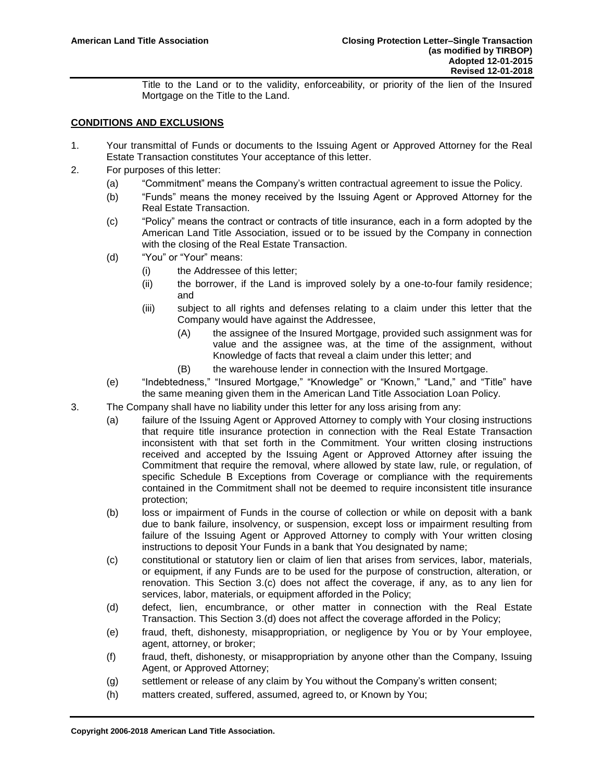Title to the Land or to the validity, enforceability, or priority of the lien of the Insured Mortgage on the Title to the Land.

## **CONDITIONS AND EXCLUSIONS**

- 1. Your transmittal of Funds or documents to the Issuing Agent or Approved Attorney for the Real Estate Transaction constitutes Your acceptance of this letter.
- 2. For purposes of this letter:
	- (a) "Commitment" means the Company's written contractual agreement to issue the Policy.
	- (b) "Funds" means the money received by the Issuing Agent or Approved Attorney for the Real Estate Transaction.
	- (c) "Policy" means the contract or contracts of title insurance, each in a form adopted by the American Land Title Association, issued or to be issued by the Company in connection with the closing of the Real Estate Transaction.
	- (d) "You" or "Your" means:
		- (i) the Addressee of this letter;
		- (ii) the borrower, if the Land is improved solely by a one-to-four family residence; and
		- (iii) subject to all rights and defenses relating to a claim under this letter that the Company would have against the Addressee,
			- (A) the assignee of the Insured Mortgage, provided such assignment was for value and the assignee was, at the time of the assignment, without Knowledge of facts that reveal a claim under this letter; and
			- (B) the warehouse lender in connection with the Insured Mortgage.
	- (e) "Indebtedness," "Insured Mortgage," "Knowledge" or "Known," "Land," and "Title" have the same meaning given them in the American Land Title Association Loan Policy.
- 3. The Company shall have no liability under this letter for any loss arising from any:
	- (a) failure of the Issuing Agent or Approved Attorney to comply with Your closing instructions that require title insurance protection in connection with the Real Estate Transaction inconsistent with that set forth in the Commitment. Your written closing instructions received and accepted by the Issuing Agent or Approved Attorney after issuing the Commitment that require the removal, where allowed by state law, rule, or regulation, of specific Schedule B Exceptions from Coverage or compliance with the requirements contained in the Commitment shall not be deemed to require inconsistent title insurance protection;
	- (b) loss or impairment of Funds in the course of collection or while on deposit with a bank due to bank failure, insolvency, or suspension, except loss or impairment resulting from failure of the Issuing Agent or Approved Attorney to comply with Your written closing instructions to deposit Your Funds in a bank that You designated by name;
	- (c) constitutional or statutory lien or claim of lien that arises from services, labor, materials, or equipment, if any Funds are to be used for the purpose of construction, alteration, or renovation. This Section 3.(c) does not affect the coverage, if any, as to any lien for services, labor, materials, or equipment afforded in the Policy;
	- (d) defect, lien, encumbrance, or other matter in connection with the Real Estate Transaction. This Section 3.(d) does not affect the coverage afforded in the Policy;
	- (e) fraud, theft, dishonesty, misappropriation, or negligence by You or by Your employee, agent, attorney, or broker;
	- (f) fraud, theft, dishonesty, or misappropriation by anyone other than the Company, Issuing Agent, or Approved Attorney;
	- (g) settlement or release of any claim by You without the Company's written consent;
	- (h) matters created, suffered, assumed, agreed to, or Known by You;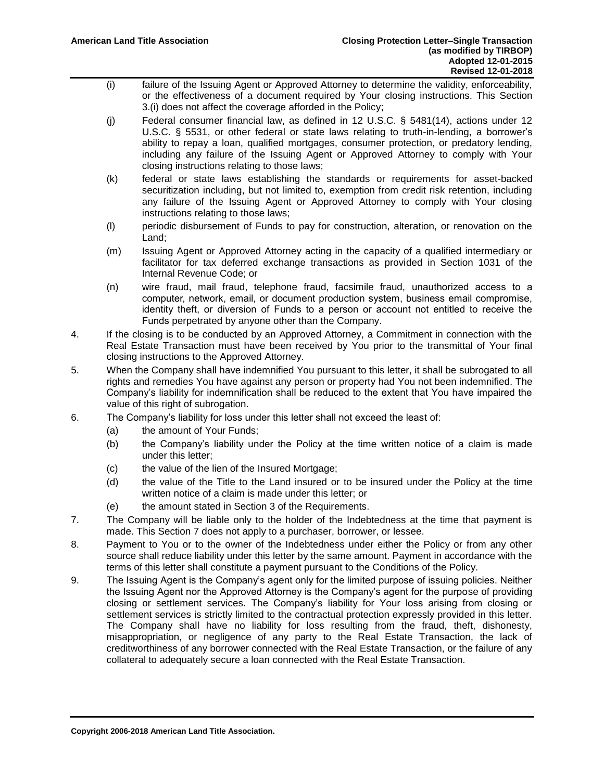- (i) failure of the Issuing Agent or Approved Attorney to determine the validity, enforceability, or the effectiveness of a document required by Your closing instructions. This Section 3.(i) does not affect the coverage afforded in the Policy;
- (j) Federal consumer financial law, as defined in 12 U.S.C. § 5481(14), actions under 12 U.S.C. § 5531, or other federal or state laws relating to truth-in-lending, a borrower's ability to repay a loan, qualified mortgages, consumer protection, or predatory lending, including any failure of the Issuing Agent or Approved Attorney to comply with Your closing instructions relating to those laws;
- (k) federal or state laws establishing the standards or requirements for asset-backed securitization including, but not limited to, exemption from credit risk retention, including any failure of the Issuing Agent or Approved Attorney to comply with Your closing instructions relating to those laws;
- (l) periodic disbursement of Funds to pay for construction, alteration, or renovation on the Land;
- (m) Issuing Agent or Approved Attorney acting in the capacity of a qualified intermediary or facilitator for tax deferred exchange transactions as provided in Section 1031 of the Internal Revenue Code; or
- (n) wire fraud, mail fraud, telephone fraud, facsimile fraud, unauthorized access to a computer, network, email, or document production system, business email compromise, identity theft, or diversion of Funds to a person or account not entitled to receive the Funds perpetrated by anyone other than the Company.
- 4. If the closing is to be conducted by an Approved Attorney, a Commitment in connection with the Real Estate Transaction must have been received by You prior to the transmittal of Your final closing instructions to the Approved Attorney.
- 5. When the Company shall have indemnified You pursuant to this letter, it shall be subrogated to all rights and remedies You have against any person or property had You not been indemnified. The Company's liability for indemnification shall be reduced to the extent that You have impaired the value of this right of subrogation.
- 6. The Company's liability for loss under this letter shall not exceed the least of:
	- (a) the amount of Your Funds;
	- (b) the Company's liability under the Policy at the time written notice of a claim is made under this letter;
	- (c) the value of the lien of the Insured Mortgage;
	- (d) the value of the Title to the Land insured or to be insured under the Policy at the time written notice of a claim is made under this letter; or
	- (e) the amount stated in Section 3 of the Requirements.
- 7. The Company will be liable only to the holder of the Indebtedness at the time that payment is made. This Section 7 does not apply to a purchaser, borrower, or lessee.
- 8. Payment to You or to the owner of the Indebtedness under either the Policy or from any other source shall reduce liability under this letter by the same amount. Payment in accordance with the terms of this letter shall constitute a payment pursuant to the Conditions of the Policy.
- 9. The Issuing Agent is the Company's agent only for the limited purpose of issuing policies. Neither the Issuing Agent nor the Approved Attorney is the Company's agent for the purpose of providing closing or settlement services. The Company's liability for Your loss arising from closing or settlement services is strictly limited to the contractual protection expressly provided in this letter. The Company shall have no liability for loss resulting from the fraud, theft, dishonesty, misappropriation, or negligence of any party to the Real Estate Transaction, the lack of creditworthiness of any borrower connected with the Real Estate Transaction, or the failure of any collateral to adequately secure a loan connected with the Real Estate Transaction.